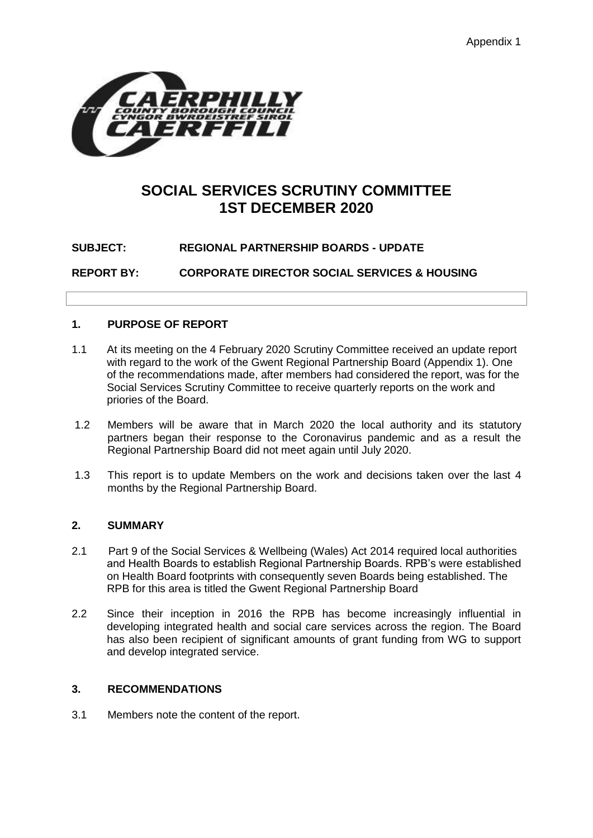

# **SOCIAL SERVICES SCRUTINY COMMITTEE 1ST DECEMBER 2020**

**SUBJECT: REGIONAL PARTNERSHIP BOARDS - UPDATE**

**REPORT BY: CORPORATE DIRECTOR SOCIAL SERVICES & HOUSING**

# **1. PURPOSE OF REPORT**

- 1.1 At its meeting on the 4 February 2020 Scrutiny Committee received an update report with regard to the work of the Gwent Regional Partnership Board (Appendix 1). One of the recommendations made, after members had considered the report, was for the Social Services Scrutiny Committee to receive quarterly reports on the work and priories of the Board.
- 1.2 Members will be aware that in March 2020 the local authority and its statutory partners began their response to the Coronavirus pandemic and as a result the Regional Partnership Board did not meet again until July 2020.
- 1.3 This report is to update Members on the work and decisions taken over the last 4 months by the Regional Partnership Board.

# **2. SUMMARY**

- 2.1 Part 9 of the Social Services & Wellbeing (Wales) Act 2014 required local authorities and Health Boards to establish Regional Partnership Boards. RPB's were established on Health Board footprints with consequently seven Boards being established. The RPB for this area is titled the Gwent Regional Partnership Board
- 2.2 Since their inception in 2016 the RPB has become increasingly influential in developing integrated health and social care services across the region. The Board has also been recipient of significant amounts of grant funding from WG to support and develop integrated service.

# **3. RECOMMENDATIONS**

3.1 Members note the content of the report.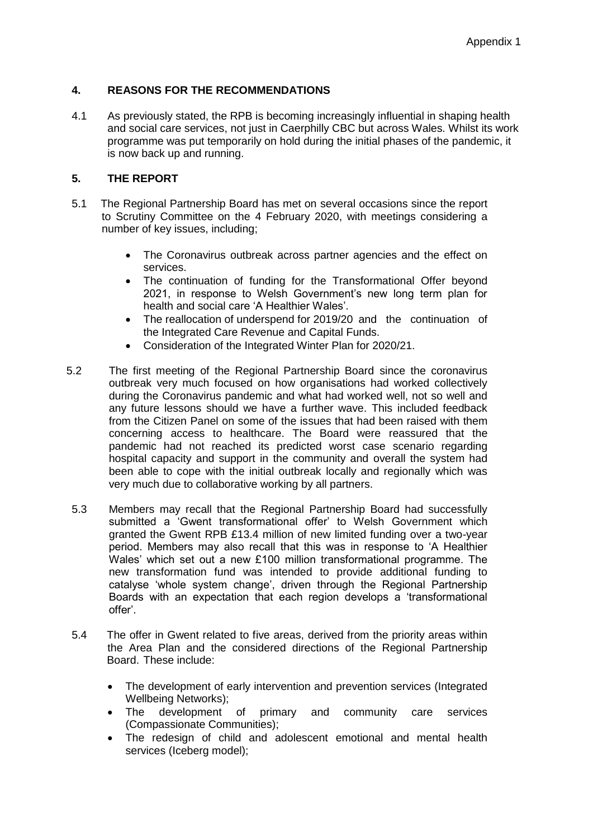# **4. REASONS FOR THE RECOMMENDATIONS**

4.1 As previously stated, the RPB is becoming increasingly influential in shaping health and social care services, not just in Caerphilly CBC but across Wales. Whilst its work programme was put temporarily on hold during the initial phases of the pandemic, it is now back up and running.

# **5. THE REPORT**

- 5.1 The Regional Partnership Board has met on several occasions since the report to Scrutiny Committee on the 4 February 2020, with meetings considering a number of key issues, including;
	- The Coronavirus outbreak across partner agencies and the effect on services.
	- The continuation of funding for the Transformational Offer beyond 2021, in response to Welsh Government's new long term plan for health and social care 'A Healthier Wales'.
	- The reallocation of underspend for 2019/20 and the continuation of the Integrated Care Revenue and Capital Funds.
	- Consideration of the Integrated Winter Plan for 2020/21.
- 5.2 The first meeting of the Regional Partnership Board since the coronavirus outbreak very much focused on how organisations had worked collectively during the Coronavirus pandemic and what had worked well, not so well and any future lessons should we have a further wave. This included feedback from the Citizen Panel on some of the issues that had been raised with them concerning access to healthcare. The Board were reassured that the pandemic had not reached its predicted worst case scenario regarding hospital capacity and support in the community and overall the system had been able to cope with the initial outbreak locally and regionally which was very much due to collaborative working by all partners.
- 5.3 Members may recall that the Regional Partnership Board had successfully submitted a 'Gwent transformational offer' to Welsh Government which granted the Gwent RPB £13.4 million of new limited funding over a two-year period. Members may also recall that this was in response to 'A Healthier Wales' which set out a new £100 million transformational programme. The new transformation fund was intended to provide additional funding to catalyse 'whole system change', driven through the Regional Partnership Boards with an expectation that each region develops a 'transformational offer'.
- 5.4 The offer in Gwent related to five areas, derived from the priority areas within the Area Plan and the considered directions of the Regional Partnership Board. These include:
	- The development of early intervention and prevention services (Integrated Wellbeing Networks);
	- The development of primary and community care services (Compassionate Communities);
	- The redesign of child and adolescent emotional and mental health services (Iceberg model);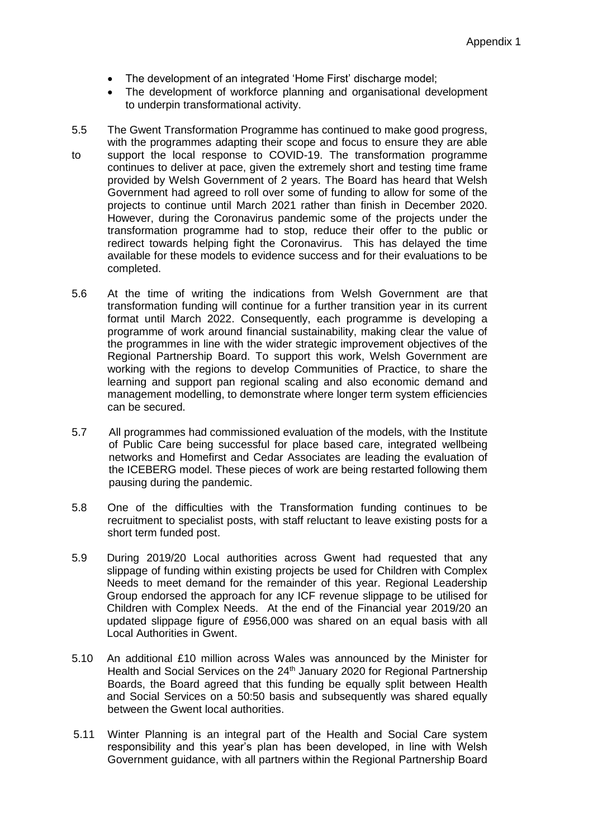- The development of an integrated 'Home First' discharge model;
- The development of workforce planning and organisational development to underpin transformational activity.
- 5.5 The Gwent Transformation Programme has continued to make good progress, with the programmes adapting their scope and focus to ensure they are able to support the local response to COVID-19. The transformation programme continues to deliver at pace, given the extremely short and testing time frame provided by Welsh Government of 2 years. The Board has heard that Welsh Government had agreed to roll over some of funding to allow for some of the projects to continue until March 2021 rather than finish in December 2020. However, during the Coronavirus pandemic some of the projects under the transformation programme had to stop, reduce their offer to the public or redirect towards helping fight the Coronavirus. This has delayed the time available for these models to evidence success and for their evaluations to be completed.
- 5.6 At the time of writing the indications from Welsh Government are that transformation funding will continue for a further transition year in its current format until March 2022. Consequently, each programme is developing a programme of work around financial sustainability, making clear the value of the programmes in line with the wider strategic improvement objectives of the Regional Partnership Board. To support this work, Welsh Government are working with the regions to develop Communities of Practice, to share the learning and support pan regional scaling and also economic demand and management modelling, to demonstrate where longer term system efficiencies can be secured.
- 5.7 All programmes had commissioned evaluation of the models, with the Institute of Public Care being successful for place based care, integrated wellbeing networks and Homefirst and Cedar Associates are leading the evaluation of the ICEBERG model. These pieces of work are being restarted following them pausing during the pandemic.
- 5.8 One of the difficulties with the Transformation funding continues to be recruitment to specialist posts, with staff reluctant to leave existing posts for a short term funded post.
- 5.9 During 2019/20 Local authorities across Gwent had requested that any slippage of funding within existing projects be used for Children with Complex Needs to meet demand for the remainder of this year. Regional Leadership Group endorsed the approach for any ICF revenue slippage to be utilised for Children with Complex Needs. At the end of the Financial year 2019/20 an updated slippage figure of £956,000 was shared on an equal basis with all Local Authorities in Gwent.
- 5.10 An additional £10 million across Wales was announced by the Minister for Health and Social Services on the 24<sup>th</sup> January 2020 for Regional Partnership Boards, the Board agreed that this funding be equally split between Health and Social Services on a 50:50 basis and subsequently was shared equally between the Gwent local authorities.
- 5.11 Winter Planning is an integral part of the Health and Social Care system responsibility and this year's plan has been developed, in line with Welsh Government guidance, with all partners within the Regional Partnership Board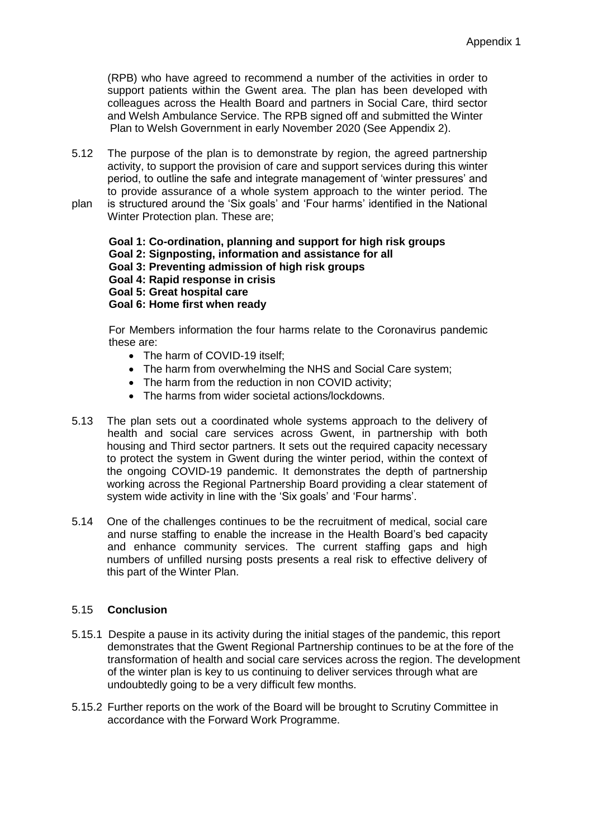(RPB) who have agreed to recommend a number of the activities in order to support patients within the Gwent area. The plan has been developed with colleagues across the Health Board and partners in Social Care, third sector and Welsh Ambulance Service. The RPB signed off and submitted the Winter Plan to Welsh Government in early November 2020 (See Appendix 2).

5.12 The purpose of the plan is to demonstrate by region, the agreed partnership activity, to support the provision of care and support services during this winter period, to outline the safe and integrate management of 'winter pressures' and to provide assurance of a whole system approach to the winter period. The plan is structured around the 'Six goals' and 'Four harms' identified in the National Winter Protection plan. These are;

**Goal 1: Co-ordination, planning and support for high risk groups Goal 2: Signposting, information and assistance for all**

- **Goal 3: Preventing admission of high risk groups**
- **Goal 4: Rapid response in crisis**
- **Goal 5: Great hospital care**

# **Goal 6: Home first when ready**

For Members information the four harms relate to the Coronavirus pandemic these are:

- The harm of COVID-19 itself:
- The harm from overwhelming the NHS and Social Care system;
- The harm from the reduction in non COVID activity;
- The harms from wider societal actions/lockdowns.
- 5.13 The plan sets out a coordinated whole systems approach to the delivery of health and social care services across Gwent, in partnership with both housing and Third sector partners. It sets out the required capacity necessary to protect the system in Gwent during the winter period, within the context of the ongoing COVID-19 pandemic. It demonstrates the depth of partnership working across the Regional Partnership Board providing a clear statement of system wide activity in line with the 'Six goals' and 'Four harms'.
- 5.14 One of the challenges continues to be the recruitment of medical, social care and nurse staffing to enable the increase in the Health Board's bed capacity and enhance community services. The current staffing gaps and high numbers of unfilled nursing posts presents a real risk to effective delivery of this part of the Winter Plan.

# 5.15 **Conclusion**

- 5.15.1 Despite a pause in its activity during the initial stages of the pandemic, this report demonstrates that the Gwent Regional Partnership continues to be at the fore of the transformation of health and social care services across the region. The development of the winter plan is key to us continuing to deliver services through what are undoubtedly going to be a very difficult few months.
- 5.15.2 Further reports on the work of the Board will be brought to Scrutiny Committee in accordance with the Forward Work Programme.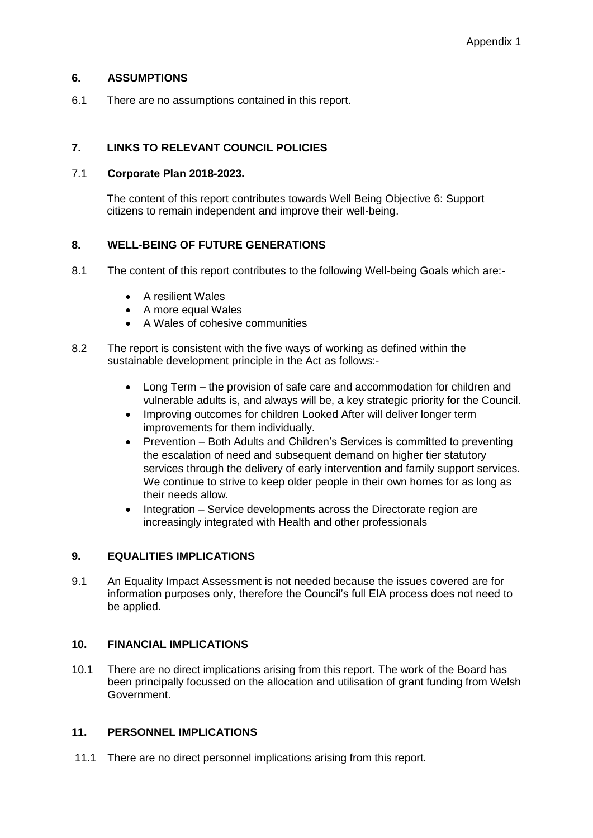#### **6. ASSUMPTIONS**

6.1 There are no assumptions contained in this report.

# **7. LINKS TO RELEVANT COUNCIL POLICIES**

#### 7.1 **Corporate Plan 2018-2023.**

The content of this report contributes towards Well Being Objective 6: Support citizens to remain independent and improve their well-being.

# **8. WELL-BEING OF FUTURE GENERATIONS**

- 8.1 The content of this report contributes to the following Well-being Goals which are:-
	- A resilient Wales
	- A more equal Wales
	- A Wales of cohesive communities
- 8.2 The report is consistent with the five ways of working as defined within the sustainable development principle in the Act as follows:-
	- Long Term the provision of safe care and accommodation for children and vulnerable adults is, and always will be, a key strategic priority for the Council.
	- Improving outcomes for children Looked After will deliver longer term improvements for them individually.
	- Prevention Both Adults and Children's Services is committed to preventing the escalation of need and subsequent demand on higher tier statutory services through the delivery of early intervention and family support services. We continue to strive to keep older people in their own homes for as long as their needs allow.
	- Integration Service developments across the Directorate region are increasingly integrated with Health and other professionals

# **9. EQUALITIES IMPLICATIONS**

9.1 An Equality Impact Assessment is not needed because the issues covered are for information purposes only, therefore the Council's full EIA process does not need to be applied.

# **10. FINANCIAL IMPLICATIONS**

10.1 There are no direct implications arising from this report. The work of the Board has been principally focussed on the allocation and utilisation of grant funding from Welsh Government.

# **11. PERSONNEL IMPLICATIONS**

11.1 There are no direct personnel implications arising from this report.